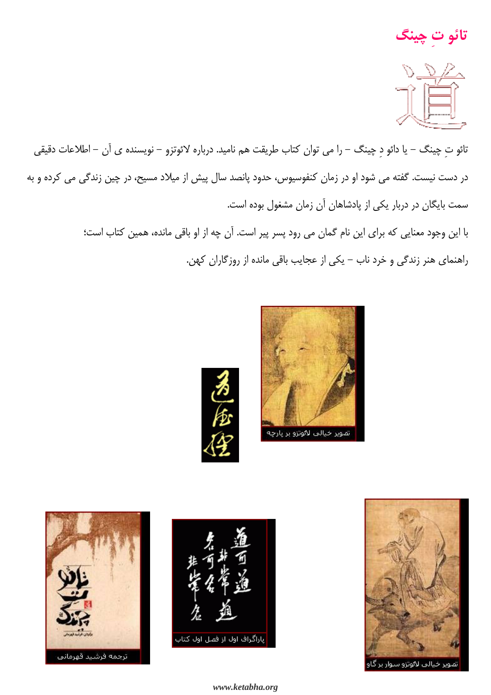تائو ت چينگ



تائو تِ چینگ – یا دائو دِ چینگ – را می توان کتاب طریقت هم نامید. درباره لائوتزو – نویسنده ی آن – اطلاعات دقیقی در دست نیست. گفته می شود او در زمان کنفوسیوس، حدود پانصد سال پیش از میلاد مسیح، در چین زندگی می کرده و به سمت بایگان در دربار یکی از پادشاهان آن زمان مشغول بوده است.

> با این وجود معنایی که برای این نام گمان می رود پسر پیر است. آن چه از او باقی مانده، همین کتاب است؛ راهنمای هنر زندگی و خرد ناب – یکی از عجایب باقی مانده از روزگاران کهن.









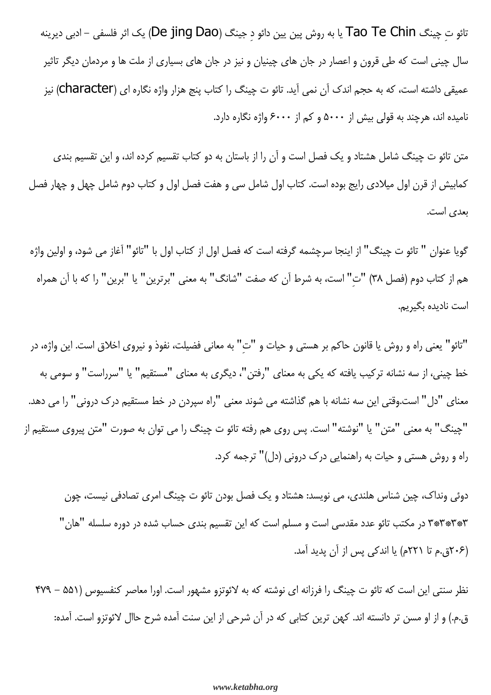تائو ت چینگ Tao Te Chin یا به روش پین یین دائو د جینگ (De jing Dao) یک اثر فلسفی – ادبی دیرینه سال چینی است که طی قرون و اعصار در جان های چینیان و نیز در جان های بسیاری از ملت ها و مردمان دیگر تاثیر عميقي داشته است، كه به حجم اندك آن نمي آيد. تائو ت چينگ را كتاب پنج هزار واژه نگاره اي (Character) نيز نامیده اند، هرچند به قولی بیش از ۵۰۰۰ و کم از ۶۰۰۰ واژه نگاره دارد.

متن تائو ت چینگ شامل هشتاد و یک فصل است و آن را از باستان به دو کتاب تقسیم کرده اند، و این تقسیم بندی کمابیش از قرن اول میلادی رایج بوده است. کتاب اول شامل سی و هفت فصل اول و کتاب دوم شامل چهل و چهار فصل بعدي است.

گویا عنوان " تائو ت چینگ" از اینجا سرچشمه گرفته است که فصل اول از کتاب اول با "تائو" آغاز می شود، و اولین واژه هم از كتاب دوم (فصل ٣٨) "ت" است، به شرط آن كه صفت "شانگ" به معنى "برترين" يا "برين" را كه با آن همراه است نادىدە ىگىرىم.

"تائو" يعني راه و روش يا قانون حاكم بر هستي و حيات و "ت" به معاني فضيلت، نفوذ و نيروي اخلاق است. اين واژه، در خط چینی، از سه نشانه ترکیب یافته که یکی به معنای "رفتن"، دیگری به معنای "مستقیم" یا "سرراست" و سومی به معنای "دل" است.وقتی این سه نشانه با هم گذاشته می شوند معنی "راه سپردن در خط مستقیم درک درونی" را می دهد. "چینگ" به معنی "متن" یا "نوشته" است. پس روی هم رفته تائو ت چینگ را می توان به صورت "متن پیروی مستقیم از راه و روش هستی و حیات به راهنمایی درک درونی (دل)" ترجمه کرد.

دوئی ونداک، چین شناس هلندی، می نویسد: هشتاد و یک فصل بودن تائو ت چینگ امری تصادفی نیست، چون ۳\*۳\*۳\*۳ در مکتب تائو عدد مقدسی است و مسلم است که این تقسیم بندی حساب شده در دوره سلسله "هان" (۲۰۶ق.م تا ۲۲۱م) یا اندکی پس از آن پدید آمد.

نظر سنتی این است که تائو ت چینگ را فرزانه ای نوشته که به لائوتزو مشهور است. اورا معاصر کنفسیوس (۵۵۱ – ۴۷۹ ق.م.) و از او مسن تر دانسته اند. کهن ترین کتابی که در آن شرحی از این سنت آمده شرح حاال لائوتزو است. آمده: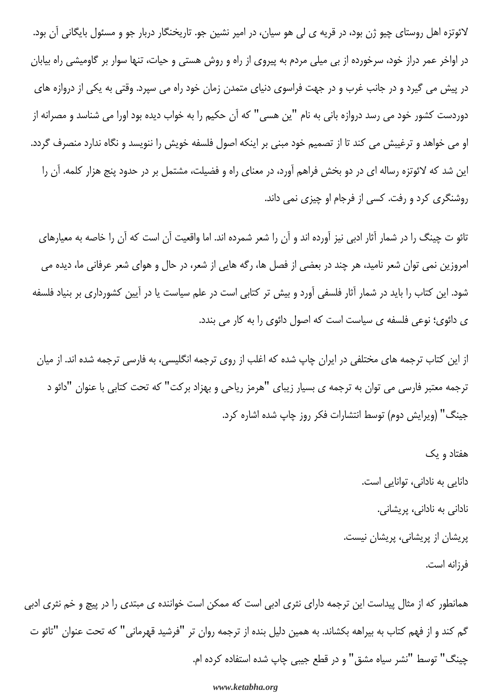لائوتزه اهل روستای چیو ژن بود، در قریه ی لی هو سیان، در امیر نشین جو. تاریخنگار دربار جو و مسئول بایگانی آن بود. در اواخر عمر دراز خود، سرخورده از بی میلی مردم به پیروی از راه و روش هستی و حیات، تنها سوار بر گاومیشی راه بیابان در پیش می گیرد و در جانب غرب و در جهت فراسوی دنیای متمدن زمان خود راه می سپرد. وقتی به یکی از دروازه های دوردست کشور خود می رسد دروازه بانی به نام "ین هسی" که آن حکیم را به خواب دیده بود اورا می شناسد و مصرانه از او می خواهد و ترغیبش می کند تا از تصمیم خود مبنی بر اینکه اصول فلسفه خویش را ننویسد و نگاه ندارد منصرف گردد. این شد که لائوتزه رساله ای در دو بخش فراهم آورد، در معنای راه و فضیلت، مشتمل بر در حدود پنج هزار کلمه. آن را روشنگری کرد و رفت. کسی از فرجام او چیزی نمی داند.

تائو ت چینگ را در شمار آثار ادبی نیز آورده اند و آن را شعر شمرده اند. اما واقعیت آن است که آن را خاصه به معیارهای امروزین نمی توان شعر نامید، هر چند در بعضی از فصل ها، رگه هایی از شعر، در حال و هوای شعر عرفانی ما، دیده می شود. این کتاب را باید در شمار آثار فلسفی آورد و بیش تر کتابی است در علم سیاست یا در آیین کشورداری بر بنیاد فلسفه ی دائوی؛ نوعی فلسفه ی سیاست است که اصول دائوی را به کار می بندد.

از این کتاب ترجمه های مختلفی در ایران چاپ شده که اغلب از روی ترجمه انگلیسی، به فارسی ترجمه شده اند. از میان ترجمه معتبر فارسی می توان به ترجمه ی بسیار زیبای "هرمز ریاحی و بهزاد برکت" که تحت کتابی با عنوان "دائو د جينگ" (ويرايش دوم) توسط انتشارات فكر روز چاپ شده اشاره كرد.

> هفتاد و یک دانایی به نادانی، توانایی است. نادانی به نادانی، پریشانی. پریشان از پریشانی، پریشان نیست. فرزانه است.

همانطور که از مثال پیداست این ترجمه دارای نثری ادبی است که ممکن است خواننده ی مبتدی را در پیچ و خم نثری ادبی گم کند و از فهم کتاب به بیراهه بکشاند. به همین دلیل بنده از ترجمه روان تر "فرشید قهرمانی" که تحت عنوان "تائو ت چینگ" توسط "نشر سیاه مشق" و در قطع جیبی چاپ شده استفاده کرده ام.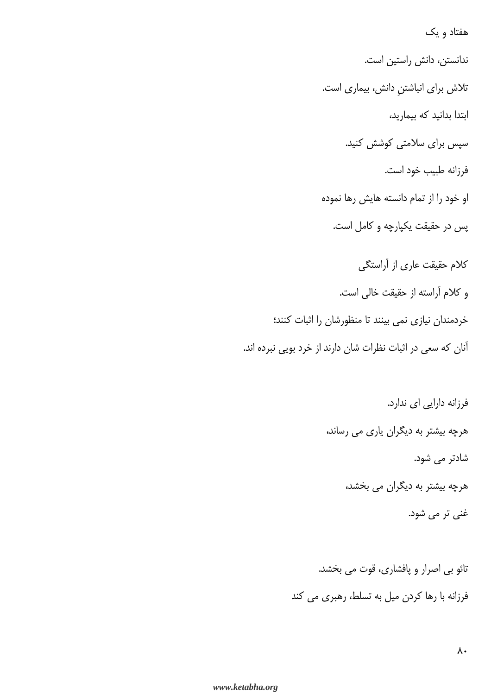هفتاد و یک ندانستن، دانش راستین است. تلاش برای انباشتن دانش، بیماری است. ابتدا بدانید که بیمارید، سپس برای سلامتی کوشش کنید. فرزانه طبيب خود است. او خود را از تمام دانسته هایش رها نموده پس در حقیقت یکپارچه و کامل است. كلام حقیقت عاری از آراستگی و كلام آراسته از حقيقت خالي است. خردمندان نیازی نمی بینند تا منظورشان را اثبات کنند؛ آنان که سعی در اثبات نظرات شان دارند از خرد بویی نبرده اند.

> فرزانه دارایی ای ندارد. هرچه بیشتر به دیگران یاری می رساند، شادتر می شود. هرچه بیشتر به دیگران می بخشد، غنی تر می شود.

تائو بي اصرار و پافشاري، قوت مي بخشد. فرزانه با رها کردن میل به تسلط، رهبری می کند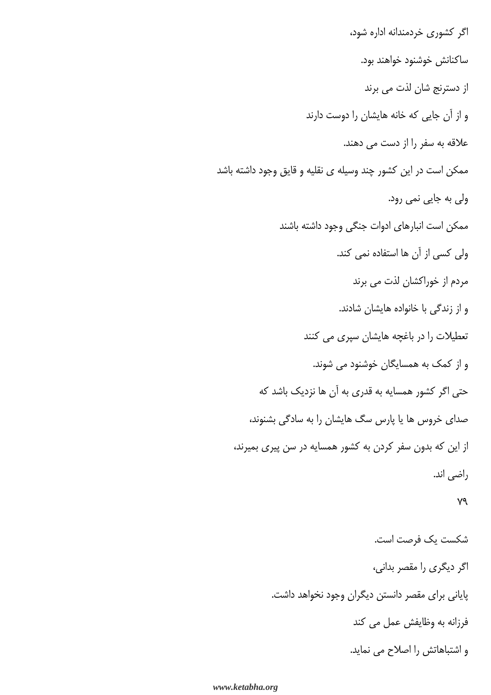اگر کشوری خردمندانه اداره شود، ساكنانش خوشنود خواهند بود. از دسترنج شان لذت می برند و از آن جایی که خانه هایشان را دوست دارند علاقه به سفر را از دست می دهند. ممکن است در این کشور چند وسیله ی نقلیه و قایق وجود داشته باشد ولی به جایی نمی رود. ممكن است انبارهاى ادوات جنگى وجود داشته باشند ولی کسی از آن ها استفاده نمی کند. مردم از خوراکشان لذت می برند و از زندگی با خانواده هایشان شادند. تعطیلات را در باغچه هایشان سپری می کنند و از کمک به همسایگان خوشنود می شوند. حتی اگر کشور همسایه به قدری به آن ها نزدیک باشد که صدای خروس ها یا پارس سگ هایشان را به سادگی بشنوند، از این که بدون سفر کردن به کشور همسایه در سن پیری بمیرند، راضي اند. v٩ شكست يك فرصت است. اگر دیگری را مقصر بدانی، پایانی برای مقصر دانستن دیگران وجود نخواهد داشت. فرزانه به وظایفش عمل می کند

و اشتباهاتش را اصلاح می نماید.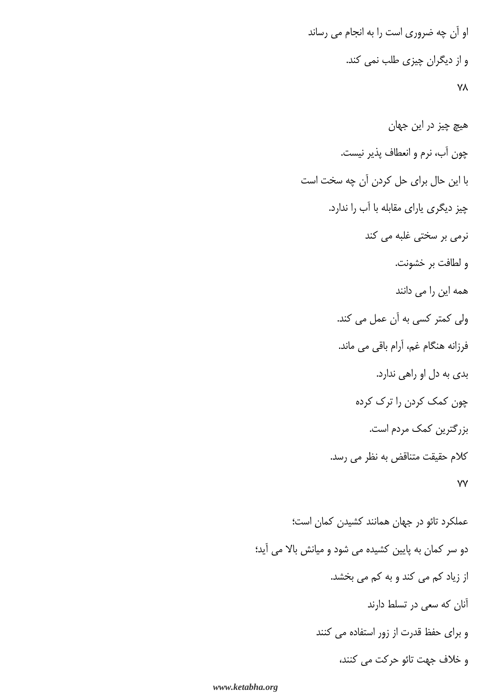او آن چه ضروری است را به انجام می رساند و از دیگران چیزی طلب نمی کند. **YA** 

هيچ چيز در اين جهان چون آب، نرم و انعطاف پذیر نیست. با این حال برای حل کردن آن چه سخت است چیز دیگری یارای مقابله با آب را ندارد. نرمی بر سختی غلبه می کند و لطافت بر خشونت. همه این را می دانند ولی کمتر کسی به آن عمل می کند. فرزانه هنگام غم، آرام باقی می ماند. بدی به دل او راهی ندارد. چون کمک کردن را ترک کرده بزرگترین کمک مردم است. كلام حقيقت متناقض به نظر مي رسد. **VV** 

عملکرد تائو در جهان همانند کشیدن کمان است؛ دو سر کمان به پایین کشیده می شود و میانش بالا می آید؛ از زیاد کم می کند و به کم می بخشد. آنان که سعی در تسلط دارند و برای حفظ قدرت از زور استفاده می کنند و خلاف جهت تائو حركت مي كنند،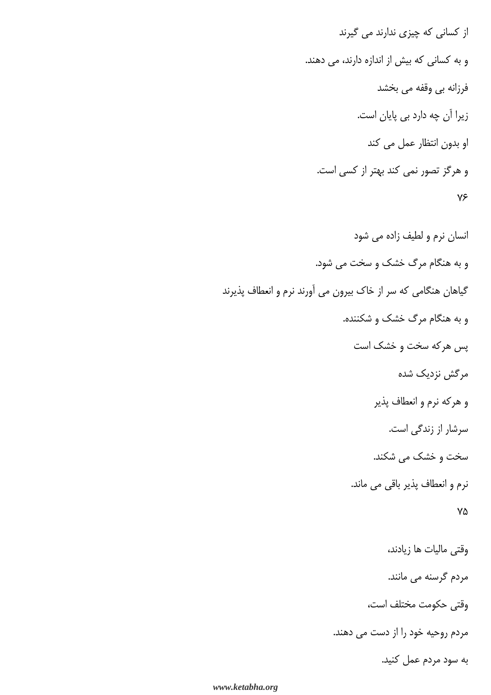از کسانی که چیزی ندارند می گیرند و به کسانی که بیش از اندازه دارند، می دهند. فرزانه بي وقفه مي بخشد زیرا آن چه دارد بی پایان است. او بدون انتظار عمل می کند و هرگز تصور نمی کند بهتر از کسی است.  $Y \xi$ 

انسان نرم و لطیف زاده می شود و به هنگام مرگ خشک و سخت می شود. گیاهان هنگامی که سر از خاک بیرون می آورند نرم و انعطاف پذیرند و به هنگام مرگ خشک و شکننده. پس هرکه سخت و خشک است مرگش نزدیک شده و هرکه نرم و انعطاف پذیر سرشار از زندگی است. سخت و خشک می شکند. نرم و انعطاف پذیر باقی می ماند. ٧۵ وقتى ماليات ها زيادند، مردم گرسنه می مانند. وقتى حكومت مختلف است، مردم روحیه خود را از دست می دهند. به سود مردم عمل کنید.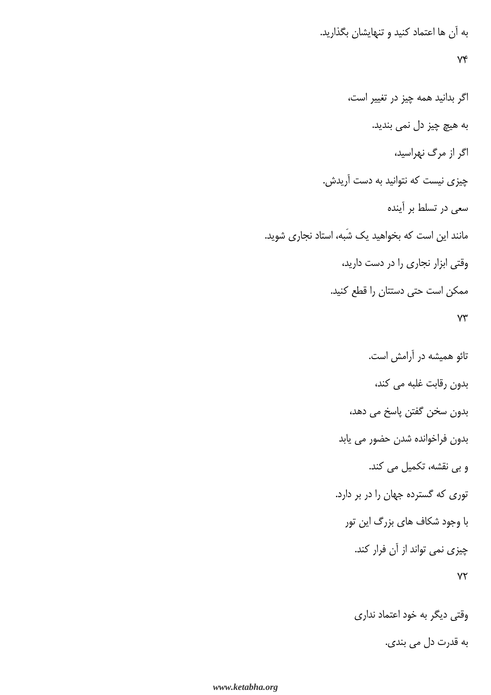به آن ها اعتماد کنید و تنهایشان بگذارید.

## $Y^e$

اگر بدانید همه چیز در تغییر است، به هیچ چیز دل نمی بندید. اگر از مرگ نهراسید، چیزی نیست که نتوانید به دست آریدش. سعی در تسلط بر آینده مانند این است که بخواهید یک شَبه، استاد نجاری شوید. وقتی ابزار نجاری را در دست دارید، ممکن است حتی دستتان را قطع کنید.  $YY$ 

> تائو همیشه در آرامش است. بدون رقابت غلبه می کند، بدون سخن گفتن پاسخ می دهد، بدون فراخوانده شدن حضور مي يابد و بی نقشه، تکمیل می کند. توری که گسترده جهان را در بر دارد. با وجود شکاف های بزرگ این تور چیزی نمی تواند از آن فرار کند.  $YY$

> > وقتی دیگر به خود اعتماد نداری به قدرت دل می بندی.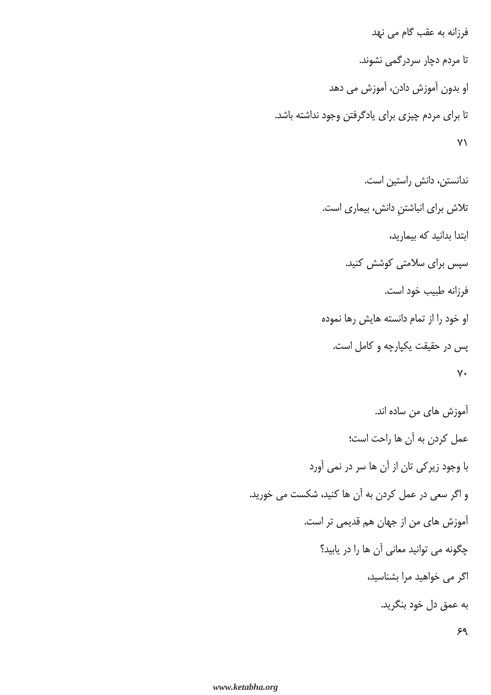فرزانه به عقب گام می نهد تا مردم دچار سردرگمی نشوند. او بدون آموزش دادن، آموزش می دهد تا برای مردم چیزی برای یادگرفتن وجود نداشته باشد.  $Y\setminus$ 

> ندانستن، دانش راستین است. تلاش برای انباشتنِ دانش، بیماری است. ابتدا بدانید که بیمارید، سپس برای سلامتی کوشش کنید. فرزانه طبيب خود است. او خود را از تمام دانسته هایش رها نموده پس در حقیقت یکپارچه و کامل است.  $V \cdot$

آموزش های من ساده اند. عمل كردن به آن ها راحت است؛ با وجود زیرکی تان از آن ها سر در نمی آورد و اگر سعی در عمل کردن به آن ها کنید، شکست می خورید. آموزش های من از جهان هم قدیمی تر است. چگونه می توانید معانی آن ها را در یابید؟ اگر می خواهید مرا بشناسید، به عمق دل خود بنگريد.

 $59$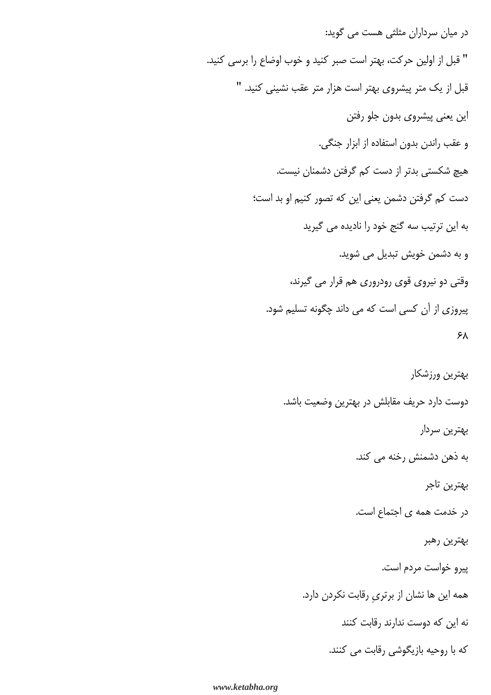در میان سرداران مثلثی هست می گوید: " قبل از اولین حرکت، بهتر است صبر کنید و خوب اوضاع را برسی کنید. قبل از یک متر پیشروی بهتر است هزار متر عقب نشینی کنید. " این یعنی پیشروی بدون جلو رفتن و عقب راندن بدون استفاده از ابزار جنگی. هیچ شکستی بدتر از دست کم گرفتن دشمنان نیست. دست کم گرفتن دشمن يعني اين که تصور کنيم او بد است؛ به این ترتیب سه گنج خود را نادیده می گیرید و به دشمن خويش تبديل مي شويد. وقتی دو نیروی قوی رودروری هم قرار می گیرند، پیروزی از آن کسی است که می داند چگونه تسلیم شود. ۶۸ بهترين ورزشكار دوست دارد حریف مقابلش در بهترین وضعیت باشد. بهترين سردار به ذهن دشمنش رخنه می کند. بهترين تاجر در خدمت همه ی اجتماع است. بهترين رهبر پيرو خواست مردم است.

همه این ها نشان از برتری رقابت نکردن دارد.

نه این که دوست ندارند رقابت کنند

که با روحیه بازیگوشی رقابت می کنند.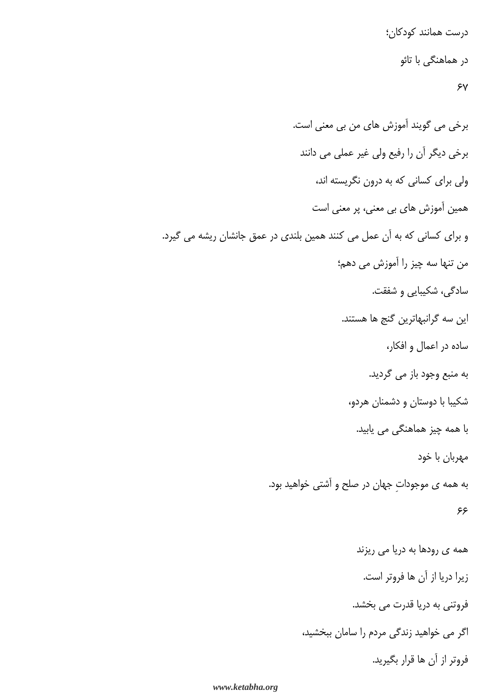درست همانند کودکان؛ در هماهنگی با تائو  $\lambda$ 

برخي مي گويند آموزش هاي من بي معني است. برخی دیگر آن را رفیع ولی غیر عملی می دانند ولی برای کسانی که به درون نگریسته اند، همین آموزش های بی معنی، پر معنی است و برای کسانی که به آن عمل می کنند همین بلندی در عمق جانشان ریشه می گیرد. من تنها سه چیز را آموزش می دهم؛ سادگی، شکیبایی و شفقت. این سه گرانبهاترین گنج ها هستند. ساده در اعمال و افکار، به منبع وجود باز می گردید. شکیبا با دوستان و دشمنان هردو، با همه چیز هماهنگی می یابید. مهربان با خود به همه ی موجودات جهان در صلح و آشتی خواهید بود. ۶۶ همه ی رودها به دریا می ریزند زيرا دريا از آن ها فروتر است. فروتنی به دریا قدرت می بخشد. اگر می خواهید زندگی مردم را سامان ببخشید،

فروتر از آن ها قرار بگیرید.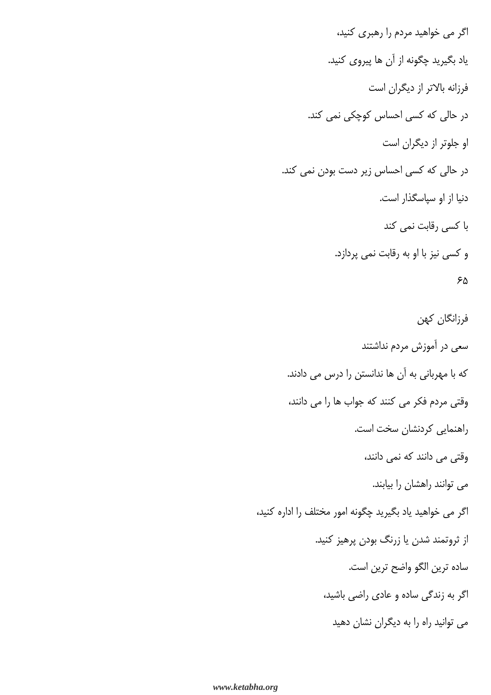اگر می خواهید مردم را رهبری کنید، ياد بگيريد چگونه از آن ها پيروي كنيد. فرزانه بالاتر از دیگران است در حالی که کسی احساس کوچکی نمی کند. او جلوتر از دیگران است در حالی که کسی احساس زیر دست بودن نمی کند. دنیا از او سپاسگذار است. با کسی رقابت نمی کند و کسی نیز با او به رقابت نمی پردازد. ۶۵

فرزانگان كهن سعی در آموزش مردم نداشتند که با مهربانی به آن ها ندانستن را درس می دادند. وقتی مردم فکر می کنند که جواب ها را می دانند، راهنمایی کردنشان سخت است. وقتی می دانند که نمی دانند، می توانند راهشان را بیابند. اگر می خواهید یاد بگیرید چگونه امور مختلف را اداره کنید، از ثروتمند شدن یا زرنگ بودن پرهیز کنید. ساده ترين الگو واضح ترين است. اگر به زندگی ساده و عادی راضی باشید، می توانید راه را به دیگران نشان دهید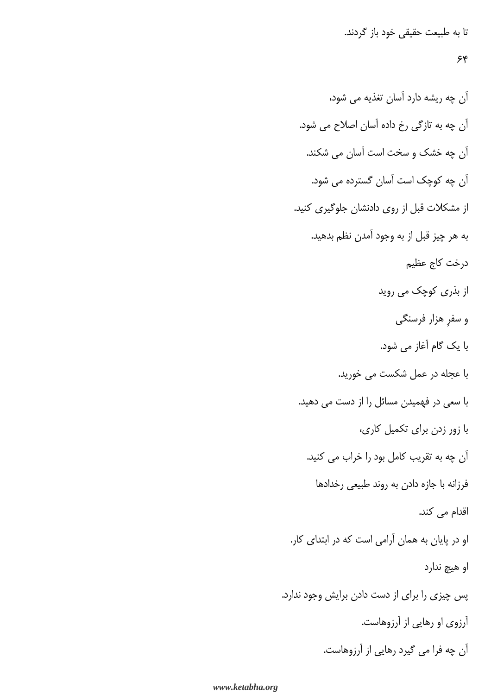تا به طبیعت حقیقی خود باز گردند.

# $55$

آن چه ریشه دارد آسان تغذیه می شود، آن چه به تازگی رخ داده آسان اصلاح می شود. آن چه خشک و سخت است آسان می شکند. آن چه کوچک است آسان گسترده می شود. از مشکلات قبل از روی دادنشان جلوگیری کنید. به هر چيز قبل از به وجود آمدن نظم بدهيد. درخت كاج عظيم از بذری کوچک می روید و سفر هزار فرسنگی با یک گام آغاز می شود. با عجله در عمل شکست می خورید. با سعی در فهمیدن مسائل را از دست می دهید. با زور زدن برای تکمیل کاری، آن چه به تقریب کامل بود را خراب می کنید. فرزانه با جازه دادن به روند طبیعی رخدادها اقدام می کند. او در پایان به همان آرامی است که در ابتدای کار. او هيچ ندارد پس چیزی را برای از دست دادن برایش وجود ندارد. آرزوی او رهایی از آرزوهاست. آن چه فرا می گیرد رهایی از آرزوهاست.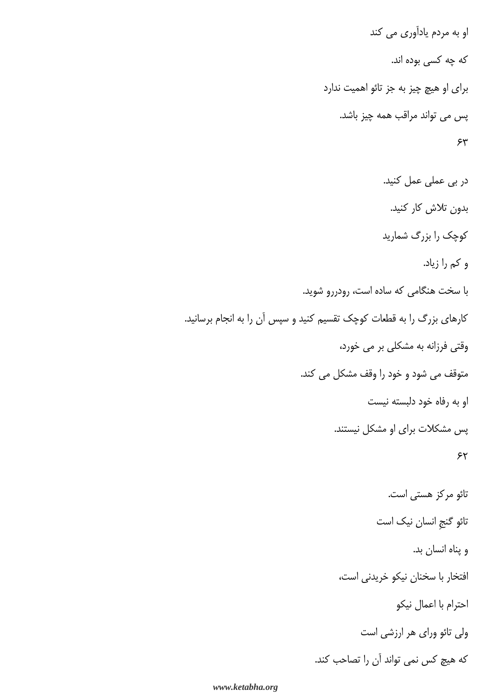او به مردم یادآوری می کند که چه کسی بوده اند. برای او هیچ چیز به جز تائو اهمیت ندارد پس می تواند مراقب همه چیز باشد.  $54$ در بی عملی عمل کنید. بدون تلاش كار كنيد. کوچک را بزرگ شمارید و کم را زیاد. با سخت هنگامی که ساده است، رودررو شوید. کارهای بزرگ را به قطعات کوچک تقسیم کنید و سپس آن را به انجام برسانید. وقتی فرزانه به مشکلی بر می خورد، متوقف می شود و خود را وقف مشکل می کند. او به رفاه خود دلبسته نیست یس مشکلات برای او مشکل نیستند.  $55$ تائو مركز هستى است. تائو گنجِ انسان نیک است و پناه انسان بد. افتخار با سخنان نيكو خريدني است، احترام با اعمال نيكو ولی تائو ورای هر ارزشی است

كه هيچ كس نمي تواند آن را تصاحب كند.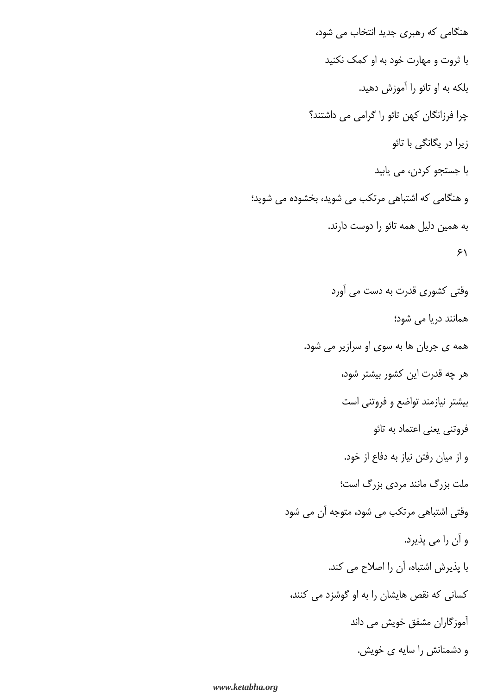هنگامی که رهبری جدید انتخاب می شود، با ثروت و مهارت خود به او کمک نکنید بلكه به او تائو را آموزش دهيد. چرا فرزانگان کهن تائو را گرامی می داشتند؟ زیرا در یگانگی با تائو با جستجو كردن، مي يابيد و هنگامی که اشتباهی مرتکب می شوید، بخشوده می شوید؛ به همین دلیل همه تائو را دوست دارند.  $51$ وقتی کشوری قدرت به دست می آورد همانند دریا می شود؛ همه ی جریان ها به سوی او سرازیر می شود. هر چه قدرت این کشور بیشتر شود، بیشتر نیازمند تواضع و فروتنی است فروتنی یعنی اعتماد به تائو و از ميان رفتن نياز به دفاع از خود. ملت بزرگ مانند مردی بزرگ است؛ وقتی اشتباهی مرتکب می شود، متوجه آن می شود و آن را مي پذيرد. با پذیرش اشتباه، آن را اصلاح می کند. کسانی که نقص هایشان را به او گوشزد می کنند، آموزگاران مشفق خویش می داند و دشمنانش را سایه ی خویش.